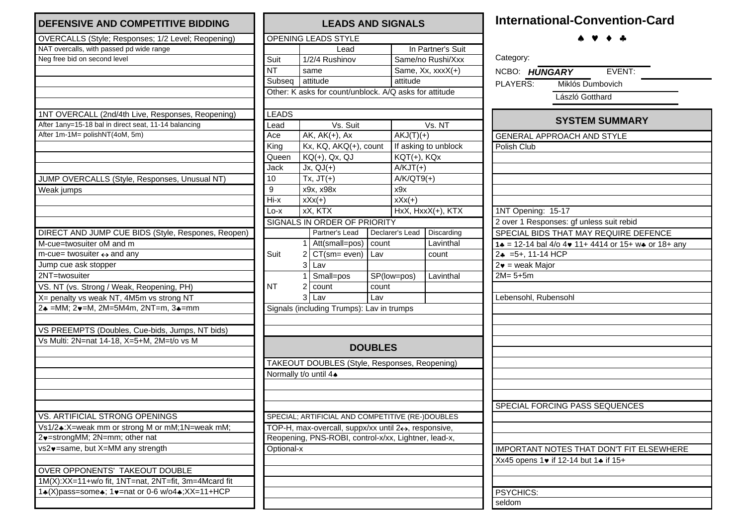| <b>DEFENSIVE AND COMPETITIVE BIDDING</b>             |
|------------------------------------------------------|
| OVERCALLS (Style; Responses; 1/2 Level; Reopening)   |
| NAT overcalls, with passed pd wide range             |
| Neg free bid on second level                         |
|                                                      |
|                                                      |
|                                                      |
|                                                      |
| 1NT OVERCALL (2nd/4th Live, Responses, Reopening)    |
| After 1any=15-18 bal in direct seat, 11-14 balancing |
| After 1m-1M= polishNT(4oM, 5m)                       |
|                                                      |
|                                                      |
|                                                      |
| JUMP OVERCALLS (Style, Responses, Unusual NT)        |
|                                                      |
| Weak jumps                                           |
|                                                      |
|                                                      |
|                                                      |
| DIRECT AND JUMP CUE BIDS (Style, Respones, Reopen)   |
| M-cue=twosuiter oM and m                             |
| $m$ -cue= twosuiter $\leftrightarrow$ and any        |
| Jump cue ask stopper                                 |
| 2NT=twosuiter                                        |
| VS. NT (vs. Strong / Weak, Reopening, PH)            |
| X= penalty vs weak NT, 4M5m vs strong NT             |
| 2+ = MM; 2+ = M, 2M = 5M4m, 2NT = m, 3+ = mm         |
|                                                      |
| VS PREEMPTS (Doubles, Cue-bids, Jumps, NT bids)      |
| Vs Multi: 2N=nat 14-18, X=5+M, 2M=t/o vs M           |
|                                                      |
|                                                      |
|                                                      |
|                                                      |
|                                                      |
|                                                      |
| VS. ARTIFICIAL STRONG OPENINGS                       |
| Vs1/2.:X=weak mm or strong M or mM;1N=weak mM;       |
| 2v=strongMM; 2N=mm; other nat                        |
| vs2v=same, but X=MM any strength                     |
|                                                      |
| OVER OPPONENTS' TAKEOUT DOUBLE                       |
| 1M(X):XX=11+w/o fit, 1NT=nat, 2NT=fit, 3m=4Mcard fit |
| 14(X)pass=some4; 1v=nat or 0-6 w/o44; XX=11+HCP      |
|                                                      |
|                                                      |

| <b>LEADS AND SIGNALS</b>                               |                |                                                     |                      |                        |                      |  |  |  |  |  |
|--------------------------------------------------------|----------------|-----------------------------------------------------|----------------------|------------------------|----------------------|--|--|--|--|--|
|                                                        |                | OPENING LEADS STYLE                                 |                      |                        |                      |  |  |  |  |  |
|                                                        |                | Lead                                                |                      | In Partner's Suit      |                      |  |  |  |  |  |
| Suit                                                   | 1/2/4 Rushinov |                                                     |                      | Same/no Rushi/Xxx      |                      |  |  |  |  |  |
| <b>NT</b>                                              | same           |                                                     |                      | Same, $Xx$ , $xxxX(+)$ |                      |  |  |  |  |  |
| Subseq                                                 |                | attitude                                            |                      | attitude               |                      |  |  |  |  |  |
| Other: K asks for count/unblock. A/Q asks for attitude |                |                                                     |                      |                        |                      |  |  |  |  |  |
|                                                        |                |                                                     |                      |                        |                      |  |  |  |  |  |
| <b>LEADS</b>                                           |                |                                                     |                      |                        |                      |  |  |  |  |  |
| Lead                                                   | Vs. Suit       |                                                     |                      | Vs. NT                 |                      |  |  |  |  |  |
| Ace                                                    |                | $\overline{AK}$ , $\overline{AK}(+)$ , Ax           |                      | $AKJ(T)(+)$            |                      |  |  |  |  |  |
| King                                                   |                | Kx, KQ, AKQ(+), count                               |                      |                        | If asking to unblock |  |  |  |  |  |
| Queen                                                  |                | KQ(+), Qx, QJ                                       |                      | KQT(+), KQx            |                      |  |  |  |  |  |
| Jack                                                   |                | $Jx, QJ(+)$                                         |                      | $A/KJT(+)$             |                      |  |  |  |  |  |
| 10                                                     |                | $Tx, JT(+)$                                         |                      | $A/K/QT9(+)$           |                      |  |  |  |  |  |
| 9                                                      |                | x9x, x98x                                           |                      | x9x                    |                      |  |  |  |  |  |
| Hi-x                                                   |                | $xXx(+)$                                            |                      | $xXx(+)$               |                      |  |  |  |  |  |
| $Ln - x$                                               |                | xX, KTX                                             |                      |                        | HxX, HxxX(+), KTX    |  |  |  |  |  |
|                                                        |                | SIGNALS IN ORDER OF PRIORITY                        |                      |                        |                      |  |  |  |  |  |
|                                                        |                | Partner's Lead                                      |                      | Declarer's Lead        | Discarding           |  |  |  |  |  |
|                                                        | 1              | Att(small=pos)   count                              |                      |                        | Lavinthal            |  |  |  |  |  |
| Suit                                                   |                | $2$ CT(sm= even)                                    | Lav                  |                        | count                |  |  |  |  |  |
|                                                        | 3              | Lav                                                 |                      |                        |                      |  |  |  |  |  |
|                                                        | 1              | Small=pos                                           | SP(low=pos)<br>count |                        | Lavinthal            |  |  |  |  |  |
| NT                                                     | $\overline{2}$ | count                                               |                      |                        |                      |  |  |  |  |  |
|                                                        | 3              | Lav                                                 | Lav                  |                        |                      |  |  |  |  |  |
|                                                        |                | Signals (including Trumps): Lav in trumps           |                      |                        |                      |  |  |  |  |  |
|                                                        |                |                                                     |                      |                        |                      |  |  |  |  |  |
|                                                        |                |                                                     |                      |                        |                      |  |  |  |  |  |
|                                                        |                |                                                     |                      |                        |                      |  |  |  |  |  |
|                                                        |                |                                                     | <b>DOUBLES</b>       |                        |                      |  |  |  |  |  |
|                                                        |                | TAKEOUT DOUBLES (Style, Responses, Reopening)       |                      |                        |                      |  |  |  |  |  |
| Normally t/o until 4+                                  |                |                                                     |                      |                        |                      |  |  |  |  |  |
|                                                        |                |                                                     |                      |                        |                      |  |  |  |  |  |
|                                                        |                |                                                     |                      |                        |                      |  |  |  |  |  |
|                                                        |                |                                                     |                      |                        |                      |  |  |  |  |  |
|                                                        |                | SPECIAL; ARTIFICIAL AND COMPETITIVE (RE-)DOUBLES    |                      |                        |                      |  |  |  |  |  |
|                                                        |                | TOP-H, max-overcall, suppx/xx until 2+, responsive, |                      |                        |                      |  |  |  |  |  |
| Reopening, PNS-ROBI, control-x/xx, Lightner, lead-x,   |                |                                                     |                      |                        |                      |  |  |  |  |  |
| Optional-x                                             |                |                                                     |                      |                        |                      |  |  |  |  |  |
|                                                        |                |                                                     |                      |                        |                      |  |  |  |  |  |
|                                                        |                |                                                     |                      |                        |                      |  |  |  |  |  |
|                                                        |                |                                                     |                      |                        |                      |  |  |  |  |  |
|                                                        |                |                                                     |                      |                        |                      |  |  |  |  |  |
|                                                        |                |                                                     |                      |                        |                      |  |  |  |  |  |

## **International-Convention-Card**

\* \* \* \*

| Category:               |                                                                                |
|-------------------------|--------------------------------------------------------------------------------|
| NCBO: HUNGARY           | EVENT:                                                                         |
| PLAYERS:                | Miklós Dumbovich                                                               |
|                         | László Gotthard                                                                |
|                         |                                                                                |
|                         | <b>SYSTEM SUMMARY</b>                                                          |
|                         | <b>GENERAL APPROACH AND STYLE</b>                                              |
| Polish Club             |                                                                                |
|                         |                                                                                |
|                         |                                                                                |
|                         |                                                                                |
|                         |                                                                                |
| 1NT Opening: 15-17      |                                                                                |
|                         | 2 over 1 Responses: gf unless suit rebid                                       |
|                         | SPECIAL BIDS THAT MAY REQUIRE DEFENCE                                          |
|                         | 1 $\bullet$ = 12-14 bal 4/o 4 $\bullet$ 11+ 4414 or 15+ w $\bullet$ or 18+ any |
| $2* = 5+, 11-14$ HCP    |                                                                                |
| $2\bullet$ = weak Major |                                                                                |
| $2M = 5 + 5m$           |                                                                                |
|                         |                                                                                |
| Lebensohl, Rubensohl    |                                                                                |
|                         |                                                                                |
|                         |                                                                                |
|                         |                                                                                |
|                         |                                                                                |
|                         |                                                                                |
|                         |                                                                                |
|                         |                                                                                |
|                         |                                                                                |
|                         | SPECIAL FORCING PASS SEQUENCES                                                 |
|                         |                                                                                |
|                         |                                                                                |
|                         |                                                                                |
|                         | IMPORTANT NOTES THAT DON'T FIT ELSEWHERE                                       |
|                         | Xx45 opens 1 v if 12-14 but 1 $\div$ if 15+                                    |
|                         |                                                                                |
|                         |                                                                                |
| PSYCHICS:               |                                                                                |
| seldom                  |                                                                                |